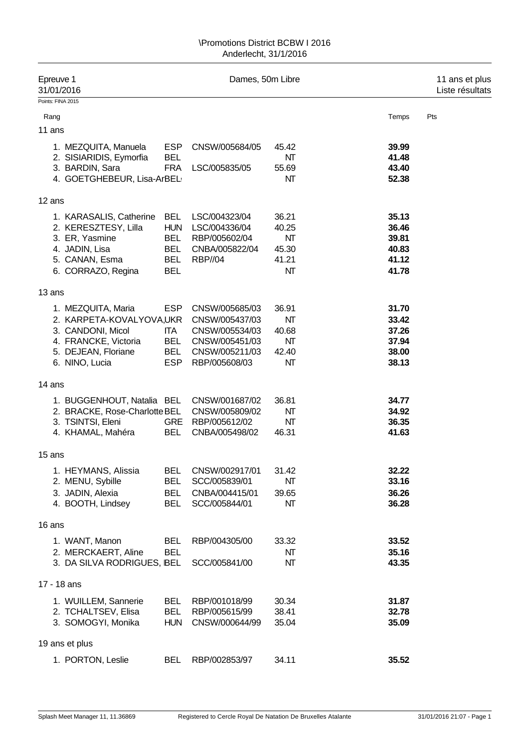| Epreuve 1<br>31/01/2016                         |                          | Dames, 50m Libre |             |                | 11 ans et plus<br>Liste résultats |  |  |
|-------------------------------------------------|--------------------------|------------------|-------------|----------------|-----------------------------------|--|--|
| Points: FINA 2015                               |                          |                  |             |                |                                   |  |  |
| Rang                                            |                          |                  |             | Temps          | Pts                               |  |  |
| 11 ans                                          |                          |                  |             |                |                                   |  |  |
|                                                 |                          |                  |             |                |                                   |  |  |
| 1. MEZQUITA, Manuela<br>2. SISIARIDIS, Eymorfia | <b>ESP</b><br><b>BEL</b> | CNSW/005684/05   | 45.42<br>NΤ | 39.99<br>41.48 |                                   |  |  |
| 3. BARDIN, Sara                                 | <b>FRA</b>               | LSC/005835/05    | 55.69       | 43.40          |                                   |  |  |
| 4. GOETGHEBEUR, Lisa-ArBEL                      |                          |                  | NΤ          | 52.38          |                                   |  |  |
|                                                 |                          |                  |             |                |                                   |  |  |
| 12 ans                                          |                          |                  |             |                |                                   |  |  |
| 1. KARASALIS, Catherine                         | <b>BEL</b>               | LSC/004323/04    | 36.21       | 35.13          |                                   |  |  |
| 2. KERESZTESY, Lilla                            | <b>HUN</b>               | LSC/004336/04    | 40.25       | 36.46          |                                   |  |  |
| 3. ER, Yasmine                                  | <b>BEL</b>               | RBP/005602/04    | NΤ          | 39.81          |                                   |  |  |
| 4. JADIN, Lisa                                  | <b>BEL</b>               | CNBA/005822/04   | 45.30       | 40.83          |                                   |  |  |
| 5. CANAN, Esma                                  | <b>BEL</b>               | <b>RBP//04</b>   | 41.21       | 41.12          |                                   |  |  |
| 6. CORRAZO, Regina                              | <b>BEL</b>               |                  | NT          | 41.78          |                                   |  |  |
| 13 ans                                          |                          |                  |             |                |                                   |  |  |
| 1. MEZQUITA, Maria                              | <b>ESP</b>               | CNSW/005685/03   | 36.91       | 31.70          |                                   |  |  |
| 2. KARPETA-KOVALYOVA,UKR                        |                          | CNSW/005437/03   | NΤ          | 33.42          |                                   |  |  |
| 3. CANDONI, Micol                               | ITA                      | CNSW/005534/03   | 40.68       | 37.26          |                                   |  |  |
| 4. FRANCKE, Victoria                            | <b>BEL</b>               | CNSW/005451/03   | NΤ          | 37.94          |                                   |  |  |
| 5. DEJEAN, Floriane                             | <b>BEL</b>               | CNSW/005211/03   | 42.40       | 38.00          |                                   |  |  |
| 6. NINO, Lucia                                  | <b>ESP</b>               | RBP/005608/03    | NΤ          | 38.13          |                                   |  |  |
| 14 ans                                          |                          |                  |             |                |                                   |  |  |
| 1. BUGGENHOUT, Natalia BEL                      |                          | CNSW/001687/02   | 36.81       | 34.77          |                                   |  |  |
| 2. BRACKE, Rose-Charlotte BEL                   |                          | CNSW/005809/02   | NΤ          | 34.92          |                                   |  |  |
| 3. TSINTSI, Eleni                               | <b>GRE</b>               | RBP/005612/02    | NT          | 36.35          |                                   |  |  |
| 4. KHAMAL, Mahéra                               | <b>BEL</b>               | CNBA/005498/02   | 46.31       | 41.63          |                                   |  |  |
| 15 ans                                          |                          |                  |             |                |                                   |  |  |
| 1. HEYMANS, Alissia                             | <b>BEL</b>               | CNSW/002917/01   | 31.42       | 32.22          |                                   |  |  |
| 2. MENU, Sybille                                | <b>BEL</b>               | SCC/005839/01    | NΤ          | 33.16          |                                   |  |  |
| 3. JADIN, Alexia                                | <b>BEL</b>               | CNBA/004415/01   | 39.65       | 36.26          |                                   |  |  |
| 4. BOOTH, Lindsey                               | <b>BEL</b>               | SCC/005844/01    | NΤ          | 36.28          |                                   |  |  |
| 16 ans                                          |                          |                  |             |                |                                   |  |  |
| 1. WANT, Manon                                  | <b>BEL</b>               | RBP/004305/00    | 33.32       | 33.52          |                                   |  |  |
| 2. MERCKAERT, Aline                             | <b>BEL</b>               |                  | NΤ          | 35.16          |                                   |  |  |
| 3. DA SILVA RODRIGUES, BEL                      |                          | SCC/005841/00    | NΤ          | 43.35          |                                   |  |  |
|                                                 |                          |                  |             |                |                                   |  |  |
| 17 - 18 ans                                     |                          |                  |             |                |                                   |  |  |
| 1. WUILLEM, Sannerie                            | <b>BEL</b>               | RBP/001018/99    | 30.34       | 31.87          |                                   |  |  |
| 2. TCHALTSEV, Elisa                             | <b>BEL</b>               | RBP/005615/99    | 38.41       | 32.78          |                                   |  |  |
| 3. SOMOGYI, Monika                              | <b>HUN</b>               | CNSW/000644/99   | 35.04       | 35.09          |                                   |  |  |
| 19 ans et plus                                  |                          |                  |             |                |                                   |  |  |
| 1. PORTON, Leslie                               | <b>BEL</b>               | RBP/002853/97    | 34.11       | 35.52          |                                   |  |  |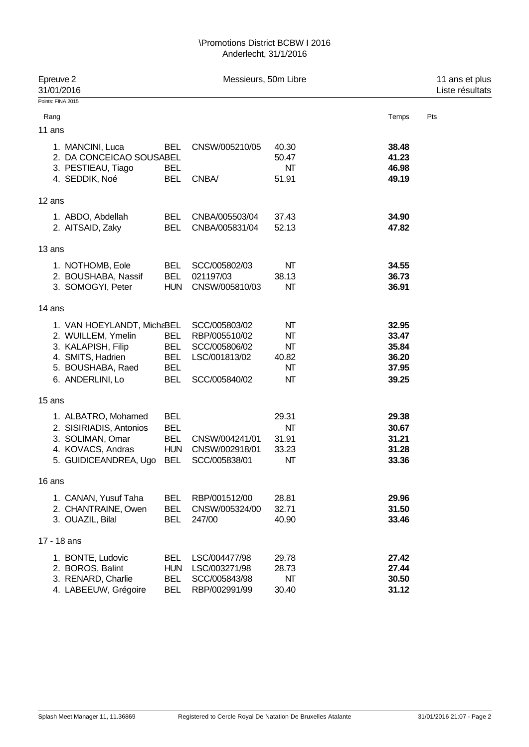| Epreuve 2<br>31/01/2016 |                                                                                                                                      |                                                                    | Messieurs, 50m Libre                                                              |                                     | 11 ans et plus<br>Liste résultats                  |     |  |
|-------------------------|--------------------------------------------------------------------------------------------------------------------------------------|--------------------------------------------------------------------|-----------------------------------------------------------------------------------|-------------------------------------|----------------------------------------------------|-----|--|
| Points: FINA 2015       |                                                                                                                                      |                                                                    |                                                                                   |                                     |                                                    |     |  |
| Rang                    |                                                                                                                                      |                                                                    |                                                                                   |                                     | Temps                                              | Pts |  |
| 11 ans                  |                                                                                                                                      |                                                                    |                                                                                   |                                     |                                                    |     |  |
|                         | 1. MANCINI, Luca<br>2. DA CONCEICAO SOUSABEL<br>3. PESTIEAU, Tiago<br>4. SEDDIK, Noé                                                 | <b>BEL</b><br><b>BEL</b><br><b>BEL</b>                             | CNSW/005210/05<br>CNBA/                                                           | 40.30<br>50.47<br>NΤ<br>51.91       | 38.48<br>41.23<br>46.98<br>49.19                   |     |  |
| 12 ans                  |                                                                                                                                      |                                                                    |                                                                                   |                                     |                                                    |     |  |
|                         | 1. ABDO, Abdellah<br>2. AITSAID, Zaky                                                                                                | <b>BEL</b><br><b>BEL</b>                                           | CNBA/005503/04<br>CNBA/005831/04                                                  | 37.43<br>52.13                      | 34.90<br>47.82                                     |     |  |
| 13 ans                  |                                                                                                                                      |                                                                    |                                                                                   |                                     |                                                    |     |  |
|                         | 1. NOTHOMB, Eole<br>2. BOUSHABA, Nassif<br>3. SOMOGYI, Peter                                                                         | <b>BEL</b><br><b>BEL</b><br><b>HUN</b>                             | SCC/005802/03<br>021197/03<br>CNSW/005810/03                                      | NΤ<br>38.13<br>NT                   | 34.55<br>36.73<br>36.91                            |     |  |
| 14 ans                  |                                                                                                                                      |                                                                    |                                                                                   |                                     |                                                    |     |  |
|                         | 1. VAN HOEYLANDT, MichaBEL<br>2. WUILLEM, Ymelin<br>3. KALAPISH, Filip<br>4. SMITS, Hadrien<br>5. BOUSHABA, Raed<br>6. ANDERLINI, Lo | <b>BEL</b><br><b>BEL</b><br><b>BEL</b><br><b>BEL</b><br><b>BEL</b> | SCC/005803/02<br>RBP/005510/02<br>SCC/005806/02<br>LSC/001813/02<br>SCC/005840/02 | NΤ<br>NΤ<br>NΤ<br>40.82<br>NΤ<br>NΤ | 32.95<br>33.47<br>35.84<br>36.20<br>37.95<br>39.25 |     |  |
| 15 ans                  |                                                                                                                                      |                                                                    |                                                                                   |                                     |                                                    |     |  |
|                         | 1. ALBATRO, Mohamed<br>2. SISIRIADIS, Antonios<br>3. SOLIMAN, Omar<br>4. KOVACS, Andras<br>5. GUIDICEANDREA, Ugo                     | <b>BEL</b><br><b>BEL</b><br><b>BEL</b><br><b>HUN</b><br><b>BEL</b> | CNSW/004241/01<br>CNSW/002918/01<br>SCC/005838/01                                 | 29.31<br>NΤ<br>31.91<br>33.23<br>NΤ | 29.38<br>30.67<br>31.21<br>31.28<br>33.36          |     |  |
| 16 ans                  |                                                                                                                                      |                                                                    |                                                                                   |                                     |                                                    |     |  |
|                         | 1. CANAN, Yusuf Taha<br>2. CHANTRAINE, Owen<br>3. OUAZIL, Bilal                                                                      | <b>BEL</b><br><b>BEL</b><br><b>BEL</b>                             | RBP/001512/00<br>CNSW/005324/00<br>247/00                                         | 28.81<br>32.71<br>40.90             | 29.96<br>31.50<br>33.46                            |     |  |
| 17 - 18 ans             |                                                                                                                                      |                                                                    |                                                                                   |                                     |                                                    |     |  |
|                         | 1. BONTE, Ludovic<br>2. BOROS, Balint<br>3. RENARD, Charlie<br>4. LABEEUW, Grégoire                                                  | <b>BEL</b><br><b>HUN</b><br><b>BEL</b><br><b>BEL</b>               | LSC/004477/98<br>LSC/003271/98<br>SCC/005843/98<br>RBP/002991/99                  | 29.78<br>28.73<br>NΤ<br>30.40       | 27.42<br>27.44<br>30.50<br>31.12                   |     |  |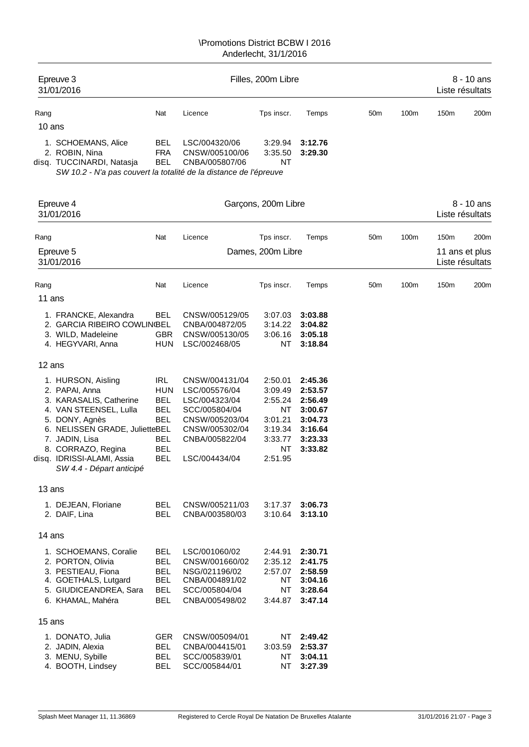| Epreuve 3<br>31/01/2016                                           |            | Filles, 200m Libre |            |         | $8 - 10$ ans<br>Liste résultats |      |      |                  |
|-------------------------------------------------------------------|------------|--------------------|------------|---------|---------------------------------|------|------|------------------|
| Rang                                                              | Nat        | Licence            | Tps inscr. | Temps   | 50 <sub>m</sub>                 | 100m | 150m | 200 <sub>m</sub> |
| 10 ans                                                            |            |                    |            |         |                                 |      |      |                  |
| 1. SCHOEMANS, Alice                                               | <b>BEL</b> | LSC/004320/06      | 3:29.94    | 3:12.76 |                                 |      |      |                  |
| 2. ROBIN, Nina                                                    | <b>FRA</b> | CNSW/005100/06     | 3:35.50    | 3:29.30 |                                 |      |      |                  |
| disq. TUCCINARDI, Natasja                                         | <b>BEL</b> | CNBA/005807/06     | NT         |         |                                 |      |      |                  |
| SW 10.2 - N'a pas couvert la totalité de la distance de l'épreuve |            |                    |            |         |                                 |      |      |                  |

Epreuve 4 **Garcons, 200m Libre** 8 - 10 ans 31/01/2016 Liste résultats Rang Nat Licence Tps inscr. Temps 50m 100m 150m 200m Epreuve 5 **Dames, 200m Libre** 11 ans et plus 31/01/2016 Liste résultats Rang Nat Licence Tps inscr. Temps 50m 100m 150m 200m 11 ans 1. FRANCKE, Alexandra BEL CNSW/005129/05 3:07.03 **3:03.88** 2. GARCIA RIBEIRO COWLINGEL CNBA/004872/05 3. WILD, Madeleine GBR CNSW/005130/05 3:06.16 **3:05.18** 4. HEGYVARI, Anna HUN LSC/002468/05 NT **3:18.84** 12 ans 1. HURSON, Aisling IRL CNSW/004131/04 2:50.01 **2:45.36** 2. PAPAI, Anna HUN LSC/005576/04 3:09.49 **2:53.57** 3. KARASALIS, Catherine BEL LSC/004323/04 2:55.24 **2:56.49** 4. VAN STEENSEL, Lulla BEL SCC/005804/04 NT **3:00.67** 5. DONY, Agnès BEL CNSW/005203/04 3:01.21 **3:04.73** 6. NELISSEN GRADE, JulietteBEL CNSW/005302/04 3:19.34 **3:16.64** 7. JADIN, Lisa BEL CNBA/005822/04 3:33.77 **3:23.33** 8. CORRAZO, Regina BEL NT **3:33.82** disq. IDRISSI-ALAMI, Assia BEL LSC/004434/04 2:51.95 *SW 4.4 - Départ anticipé* 13 ans 1. DEJEAN, Floriane BEL CNSW/005211/03 3:17.37 **3:06.73** 2. DAIF, Lina BEL CNBA/003580/03 3:10.64 **3:13.10** 14 ans 1. SCHOEMANS, Coralie BEL LSC/001060/02 2:44.91 **2:30.71** 2. PORTON, Olivia BEL CNSW/001660/02 2:35.12 **2:41.75** 3. PESTIEAU, Fiona BEL NSG/021196/02 2:57.07 **2:58.59** 4. GOETHALS, Lutgard BEL CNBA/004891/02 NT **3:04.16** 5. GIUDICEANDREA, Sara BEL SCC/005804/04 NT **3:28.64** 6. KHAMAL, Mahéra BEL CNBA/005498/02 3:44.87 **3:47.14** 15 ans 1. DONATO, Julia GER CNSW/005094/01 NT **2:49.42** 2. JADIN, Alexia BEL CNBA/004415/01 3:03.59 **2:53.37** 3. MENU, Sybille BEL SCC/005839/01 NT **3:04.11** 4. BOOTH, Lindsey BEL SCC/005844/01 NT **3:27.39**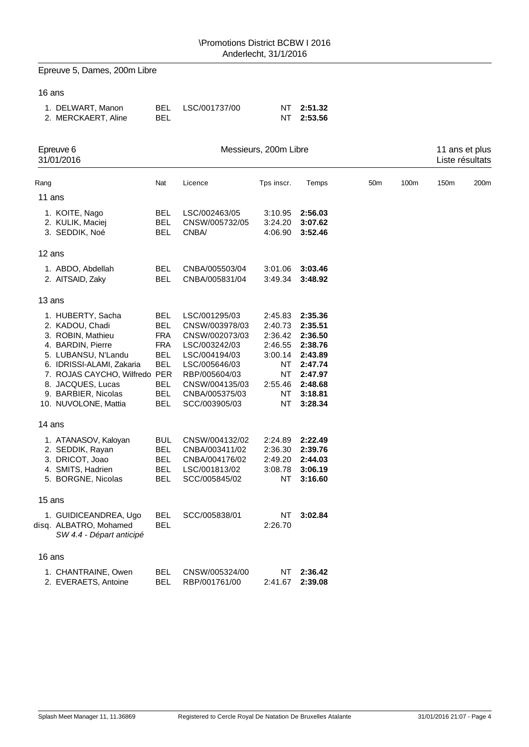Epreuve 5, Dames, 200m Libre

## 16 ans

| 1. DELWART, Manon   |     | BEL LSC/001737/00 | NT 2:51.32 |
|---------------------|-----|-------------------|------------|
| 2. MERCKAERT, Aline | BEL |                   | NT 2:53.56 |

| Epreuve 6<br>31/01/2016                                                                                                                                                                                                                                                   | Messieurs, 200m Libre                                                                                                      |                                                                                                                                                                                              |                                                                                                   |                                                                                                                       |                 |      |      | 11 ans et plus<br>Liste résultats |  |  |
|---------------------------------------------------------------------------------------------------------------------------------------------------------------------------------------------------------------------------------------------------------------------------|----------------------------------------------------------------------------------------------------------------------------|----------------------------------------------------------------------------------------------------------------------------------------------------------------------------------------------|---------------------------------------------------------------------------------------------------|-----------------------------------------------------------------------------------------------------------------------|-----------------|------|------|-----------------------------------|--|--|
| Rang                                                                                                                                                                                                                                                                      | Nat                                                                                                                        | Licence                                                                                                                                                                                      | Tps inscr.                                                                                        | Temps                                                                                                                 | 50 <sub>m</sub> | 100m | 150m | 200m                              |  |  |
| 11 ans                                                                                                                                                                                                                                                                    |                                                                                                                            |                                                                                                                                                                                              |                                                                                                   |                                                                                                                       |                 |      |      |                                   |  |  |
| 1. KOITE, Nago<br>2. KULIK, Maciej<br>3. SEDDIK, Noé                                                                                                                                                                                                                      | BEL<br><b>BEL</b><br>BEL                                                                                                   | LSC/002463/05<br>CNSW/005732/05<br>CNBA/                                                                                                                                                     | 3:10.95<br>3:24.20<br>4:06.90                                                                     | 2:56.03<br>3:07.62<br>3:52.46                                                                                         |                 |      |      |                                   |  |  |
| 12 ans                                                                                                                                                                                                                                                                    |                                                                                                                            |                                                                                                                                                                                              |                                                                                                   |                                                                                                                       |                 |      |      |                                   |  |  |
| 1. ABDO, Abdellah<br>2. AITSAID, Zaky                                                                                                                                                                                                                                     | <b>BEL</b><br><b>BEL</b>                                                                                                   | CNBA/005503/04<br>CNBA/005831/04                                                                                                                                                             | 3:01.06<br>3:49.34                                                                                | 3:03.46<br>3:48.92                                                                                                    |                 |      |      |                                   |  |  |
| 13 ans                                                                                                                                                                                                                                                                    |                                                                                                                            |                                                                                                                                                                                              |                                                                                                   |                                                                                                                       |                 |      |      |                                   |  |  |
| 1. HUBERTY, Sacha<br>2. KADOU, Chadi<br>3. ROBIN, Mathieu<br>4. BARDIN, Pierre<br>5. LUBANSU, N'Landu<br>6. IDRISSI-ALAMI, Zakaria<br>7. ROJAS CAYCHO, Wilfredo PER<br>8. JACQUES, Lucas<br>9. BARBIER, Nicolas<br>10. NUVOLONE, Mattia<br>14 ans<br>1. ATANASOV, Kaloyan | BEL<br><b>BEL</b><br><b>FRA</b><br><b>FRA</b><br><b>BEL</b><br><b>BEL</b><br><b>BEL</b><br><b>BEL</b><br>BEL<br><b>BUL</b> | LSC/001295/03<br>CNSW/003978/03<br>CNSW/002073/03<br>LSC/003242/03<br>LSC/004194/03<br>LSC/005646/03<br>RBP/005604/03<br>CNSW/004135/03<br>CNBA/005375/03<br>SCC/003905/03<br>CNSW/004132/02 | 2:45.83<br>2:40.73<br>2:36.42<br>2:46.55<br>3:00.14<br>NΤ<br>ΝT<br>2:55.46<br>ΝT<br>NΤ<br>2:24.89 | 2:35.36<br>2:35.51<br>2:36.50<br>2:38.76<br>2:43.89<br>2:47.74<br>2:47.97<br>2:48.68<br>3:18.81<br>3:28.34<br>2:22.49 |                 |      |      |                                   |  |  |
| 2. SEDDIK, Rayan<br>3. DRICOT, Joao<br>4. SMITS, Hadrien<br>5. BORGNE, Nicolas                                                                                                                                                                                            | BEL<br><b>BEL</b><br>BEL<br>BEL                                                                                            | CNBA/003411/02<br>CNBA/004176/02<br>LSC/001813/02<br>SCC/005845/02                                                                                                                           | 2:36.30<br>2:49.20<br>3:08.78<br>ΝT                                                               | 2:39.76<br>2:44.03<br>3:06.19<br>3:16.60                                                                              |                 |      |      |                                   |  |  |
| 15 ans                                                                                                                                                                                                                                                                    |                                                                                                                            |                                                                                                                                                                                              |                                                                                                   |                                                                                                                       |                 |      |      |                                   |  |  |
| 1. GUIDICEANDREA, Ugo<br>disq. ALBATRO, Mohamed<br>SW 4.4 - Départ anticipé                                                                                                                                                                                               | BEL<br>BEL                                                                                                                 | SCC/005838/01                                                                                                                                                                                | ΝT<br>2:26.70                                                                                     | 3:02.84                                                                                                               |                 |      |      |                                   |  |  |
| 16 ans                                                                                                                                                                                                                                                                    |                                                                                                                            |                                                                                                                                                                                              |                                                                                                   |                                                                                                                       |                 |      |      |                                   |  |  |
| 1. CHANTRAINE, Owen<br>2. EVERAETS, Antoine                                                                                                                                                                                                                               | BEL<br>BEL                                                                                                                 | CNSW/005324/00<br>RBP/001761/00                                                                                                                                                              | ΝT<br>2:41.67                                                                                     | 2:36.42<br>2:39.08                                                                                                    |                 |      |      |                                   |  |  |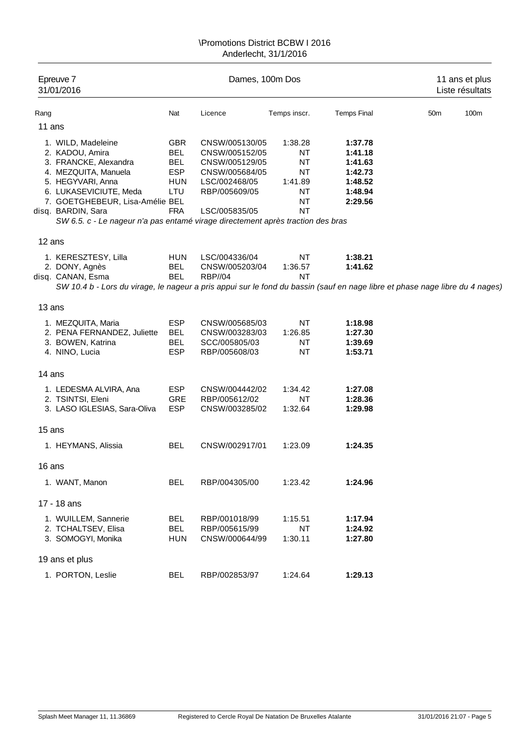| Epreuve 7<br>31/01/2016                                                                                                                |            | Dames, 100m Dos | 11 ans et plus<br>Liste résultats |                    |                 |      |
|----------------------------------------------------------------------------------------------------------------------------------------|------------|-----------------|-----------------------------------|--------------------|-----------------|------|
| Rang                                                                                                                                   | Nat        | Licence         | Temps inscr.                      | <b>Temps Final</b> | 50 <sub>m</sub> | 100m |
| 11 ans                                                                                                                                 |            |                 |                                   |                    |                 |      |
| 1. WILD, Madeleine                                                                                                                     | <b>GBR</b> | CNSW/005130/05  | 1:38.28                           | 1:37.78            |                 |      |
| 2. KADOU, Amira                                                                                                                        | <b>BEL</b> | CNSW/005152/05  | NT                                | 1:41.18            |                 |      |
| 3. FRANCKE, Alexandra                                                                                                                  | <b>BEL</b> | CNSW/005129/05  | NT                                | 1:41.63            |                 |      |
| 4. MEZQUITA, Manuela                                                                                                                   | <b>ESP</b> | CNSW/005684/05  | NT                                | 1:42.73            |                 |      |
| 5. HEGYVARI, Anna                                                                                                                      | <b>HUN</b> | LSC/002468/05   | 1:41.89                           | 1:48.52            |                 |      |
| 6. LUKASEVICIUTE, Meda                                                                                                                 | LTU        | RBP/005609/05   | NT                                | 1:48.94            |                 |      |
| 7. GOETGHEBEUR, Lisa-Amélie BEL                                                                                                        |            |                 | NT                                | 2:29.56            |                 |      |
| disq. BARDIN, Sara                                                                                                                     | <b>FRA</b> | LSC/005835/05   | <b>NT</b>                         |                    |                 |      |
| SW 6.5. c - Le nageur n'a pas entamé virage directement après traction des bras                                                        |            |                 |                                   |                    |                 |      |
| 12 ans                                                                                                                                 |            |                 |                                   |                    |                 |      |
| 1. KERESZTESY, Lilla                                                                                                                   | <b>HUN</b> | LSC/004336/04   | NT                                | 1:38.21            |                 |      |
| 2. DONY, Agnès                                                                                                                         | <b>BEL</b> | CNSW/005203/04  | 1:36.57                           | 1:41.62            |                 |      |
| disq. CANAN, Esma                                                                                                                      | <b>BEL</b> | <b>RBP//04</b>  | <b>NT</b>                         |                    |                 |      |
| SW 10.4 b - Lors du virage, le nageur a pris appui sur le fond du bassin (sauf en nage libre et phase nage libre du 4 nages,<br>13 ans |            |                 |                                   |                    |                 |      |
| 1. MEZQUITA, Maria                                                                                                                     | <b>ESP</b> | CNSW/005685/03  | <b>NT</b>                         | 1:18.98            |                 |      |
| 2. PENA FERNANDEZ, Juliette                                                                                                            | <b>BEL</b> | CNSW/003283/03  | 1:26.85                           | 1:27.30            |                 |      |
| 3. BOWEN, Katrina                                                                                                                      | <b>BEL</b> | SCC/005805/03   | NT                                | 1:39.69            |                 |      |
| 4. NINO, Lucia                                                                                                                         | <b>ESP</b> | RBP/005608/03   | <b>NT</b>                         | 1:53.71            |                 |      |
| 14 ans                                                                                                                                 |            |                 |                                   |                    |                 |      |
| 1. LEDESMA ALVIRA, Ana                                                                                                                 | <b>ESP</b> | CNSW/004442/02  | 1:34.42                           | 1:27.08            |                 |      |
| 2. TSINTSI, Eleni                                                                                                                      | GRE        | RBP/005612/02   | NT                                | 1:28.36            |                 |      |
| 3. LASO IGLESIAS, Sara-Oliva                                                                                                           | <b>ESP</b> | CNSW/003285/02  | 1:32.64                           | 1:29.98            |                 |      |
| 15 ans                                                                                                                                 |            |                 |                                   |                    |                 |      |
| 1. HEYMANS, Alissia                                                                                                                    | <b>BEL</b> | CNSW/002917/01  | 1:23.09                           | 1:24.35            |                 |      |
|                                                                                                                                        |            |                 |                                   |                    |                 |      |
| 16 ans                                                                                                                                 |            |                 |                                   |                    |                 |      |
| 1. WANT, Manon                                                                                                                         | <b>BEL</b> | RBP/004305/00   | 1:23.42                           | 1:24.96            |                 |      |
| 17 - 18 ans                                                                                                                            |            |                 |                                   |                    |                 |      |
| 1. WUILLEM, Sannerie                                                                                                                   | <b>BEL</b> | RBP/001018/99   | 1:15.51                           | 1:17.94            |                 |      |
| 2. TCHALTSEV, Elisa                                                                                                                    | <b>BEL</b> | RBP/005615/99   | <b>NT</b>                         | 1:24.92            |                 |      |
| 3. SOMOGYI, Monika                                                                                                                     | HUN        | CNSW/000644/99  | 1:30.11                           | 1:27.80            |                 |      |
| 19 ans et plus                                                                                                                         |            |                 |                                   |                    |                 |      |
| 1. PORTON, Leslie                                                                                                                      | BEL        | RBP/002853/97   | 1:24.64                           | 1:29.13            |                 |      |
|                                                                                                                                        |            |                 |                                   |                    |                 |      |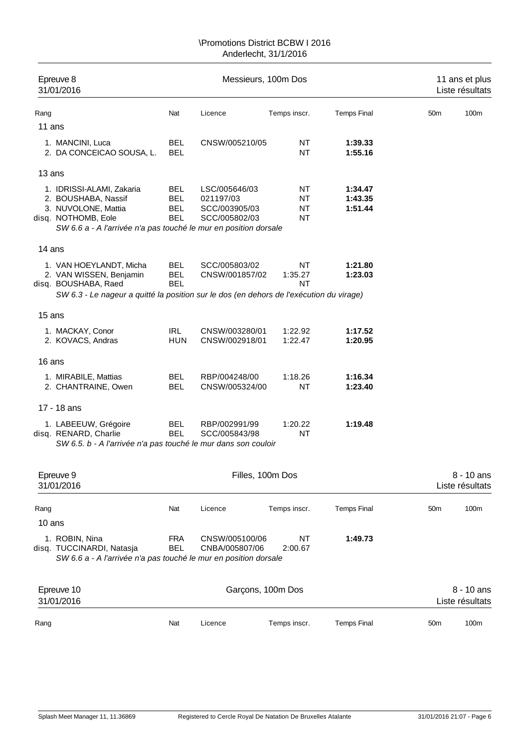|        | Epreuve 8<br>31/01/2016                                                                                                                                            |                                                      | Messieurs, 100m Dos                                          |                                    | 11 ans et plus<br>Liste résultats |                 |                               |
|--------|--------------------------------------------------------------------------------------------------------------------------------------------------------------------|------------------------------------------------------|--------------------------------------------------------------|------------------------------------|-----------------------------------|-----------------|-------------------------------|
| Rang   |                                                                                                                                                                    | Nat                                                  | Licence                                                      | Temps inscr.                       | <b>Temps Final</b>                | 50 <sub>m</sub> | 100m                          |
| 11 ans |                                                                                                                                                                    |                                                      |                                                              |                                    |                                   |                 |                               |
|        | 1. MANCINI, Luca<br>2. DA CONCEICAO SOUSA, L.                                                                                                                      | <b>BEL</b><br><b>BEL</b>                             | CNSW/005210/05                                               | NT<br><b>NT</b>                    | 1:39.33<br>1:55.16                |                 |                               |
| 13 ans |                                                                                                                                                                    |                                                      |                                                              |                                    |                                   |                 |                               |
|        | 1. IDRISSI-ALAMI, Zakaria<br>2. BOUSHABA, Nassif<br>3. NUVOLONE, Mattia<br>disq. NOTHOMB, Eole<br>SW 6.6 a - A l'arrivée n'a pas touché le mur en position dorsale | <b>BEL</b><br><b>BEL</b><br><b>BEL</b><br><b>BEL</b> | LSC/005646/03<br>021197/03<br>SCC/003905/03<br>SCC/005802/03 | NT<br><b>NT</b><br>NT<br><b>NT</b> | 1:34.47<br>1:43.35<br>1:51.44     |                 |                               |
| 14 ans |                                                                                                                                                                    |                                                      |                                                              |                                    |                                   |                 |                               |
|        | 1. VAN HOEYLANDT, Micha<br>2. VAN WISSEN, Benjamin<br>disq. BOUSHABA, Raed                                                                                         | <b>BEL</b><br><b>BEL</b><br><b>BEL</b>               | SCC/005803/02<br>CNSW/001857/02                              | NT<br>1:35.27<br>ΝT                | 1:21.80<br>1:23.03                |                 |                               |
|        | SW 6.3 - Le nageur a quitté la position sur le dos (en dehors de l'exécution du virage)                                                                            |                                                      |                                                              |                                    |                                   |                 |                               |
| 15 ans |                                                                                                                                                                    |                                                      |                                                              |                                    |                                   |                 |                               |
|        | 1. MACKAY, Conor<br>2. KOVACS, Andras                                                                                                                              | IRL<br><b>HUN</b>                                    | CNSW/003280/01<br>CNSW/002918/01                             | 1:22.92<br>1:22.47                 | 1:17.52<br>1:20.95                |                 |                               |
| 16 ans |                                                                                                                                                                    |                                                      |                                                              |                                    |                                   |                 |                               |
|        | 1. MIRABILE, Mattias<br>2. CHANTRAINE, Owen                                                                                                                        | <b>BEL</b><br><b>BEL</b>                             | RBP/004248/00<br>CNSW/005324/00                              | 1:18.26<br><b>NT</b>               | 1:16.34<br>1:23.40                |                 |                               |
|        | 17 - 18 ans                                                                                                                                                        |                                                      |                                                              |                                    |                                   |                 |                               |
|        | 1. LABEEUW, Grégoire<br>disq. RENARD, Charlie<br>SW 6.5. b - A l'arrivée n'a pas touché le mur dans son couloir                                                    | <b>BEL</b><br><b>BEL</b>                             | RBP/002991/99<br>SCC/005843/98                               | 1:20.22<br><b>NT</b>               | 1:19.48                           |                 |                               |
|        | Epreuve 9<br>31/01/2016                                                                                                                                            |                                                      |                                                              | Filles, 100m Dos                   |                                   |                 | 8 - 10 ans<br>Liste résultats |
| Rang   |                                                                                                                                                                    | Nat                                                  | Licence                                                      | Temps inscr.                       | <b>Temps Final</b>                | 50 <sub>m</sub> | 100m                          |
| 10 ans |                                                                                                                                                                    |                                                      |                                                              |                                    |                                   |                 |                               |
|        | 1. ROBIN, Nina<br>disq. TUCCINARDI, Natasja<br>SW 6.6 a - A l'arrivée n'a pas touché le mur en position dorsale                                                    | <b>FRA</b><br><b>BEL</b>                             | CNSW/005100/06<br>CNBA/005807/06                             | <b>NT</b><br>2:00.67               | 1:49.73                           |                 |                               |
|        | Epreuve 10<br>31/01/2016                                                                                                                                           |                                                      |                                                              | Garçons, 100m Dos                  |                                   |                 | 8 - 10 ans<br>Liste résultats |
| Rang   |                                                                                                                                                                    | Nat                                                  | Licence                                                      | Temps inscr.                       | <b>Temps Final</b>                | 50 <sub>m</sub> | 100m                          |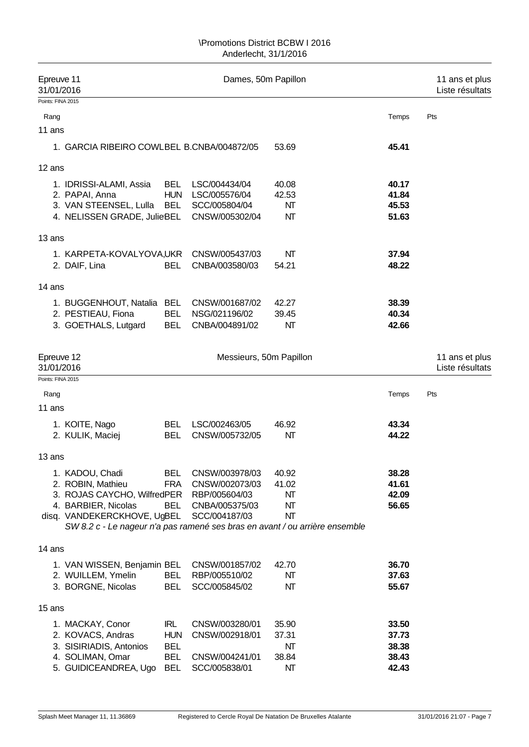| Epreuve 11<br>31/01/2016                                                    |            | Dames, 50m Papillon     |       |       | 11 ans et plus<br>Liste résultats |
|-----------------------------------------------------------------------------|------------|-------------------------|-------|-------|-----------------------------------|
| Points: FINA 2015                                                           |            |                         |       |       |                                   |
| Rang                                                                        |            |                         |       | Temps | Pts                               |
| 11 ans                                                                      |            |                         |       |       |                                   |
| 1. GARCIA RIBEIRO COWLBEL B.CNBA/004872/05                                  |            |                         | 53.69 | 45.41 |                                   |
| 12 ans                                                                      |            |                         |       |       |                                   |
| 1. IDRISSI-ALAMI, Assia                                                     | <b>BEL</b> | LSC/004434/04           | 40.08 | 40.17 |                                   |
| 2. PAPAI, Anna                                                              | <b>HUN</b> | LSC/005576/04           | 42.53 | 41.84 |                                   |
| 3. VAN STEENSEL, Lulla                                                      | BEL        | SCC/005804/04           | NΤ    | 45.53 |                                   |
| 4. NELISSEN GRADE, JulieBEL                                                 |            | CNSW/005302/04          | NT    | 51.63 |                                   |
| 13 ans                                                                      |            |                         |       |       |                                   |
| 1. KARPETA-KOVALYOVA,UKR CNSW/005437/03                                     |            |                         | NΤ    | 37.94 |                                   |
| 2. DAIF, Lina                                                               | <b>BEL</b> | CNBA/003580/03          | 54.21 | 48.22 |                                   |
| 14 ans                                                                      |            |                         |       |       |                                   |
| 1. BUGGENHOUT, Natalia BEL                                                  |            | CNSW/001687/02          | 42.27 | 38.39 |                                   |
| 2. PESTIEAU, Fiona                                                          | <b>BEL</b> | NSG/021196/02           | 39.45 | 40.34 |                                   |
| 3. GOETHALS, Lutgard                                                        | <b>BEL</b> | CNBA/004891/02          | NΤ    | 42.66 |                                   |
|                                                                             |            |                         |       |       |                                   |
| Epreuve 12<br>31/01/2016                                                    |            | Messieurs, 50m Papillon |       |       | 11 ans et plus<br>Liste résultats |
| Points: FINA 2015                                                           |            |                         |       |       |                                   |
| Rang                                                                        |            |                         |       | Temps | Pts                               |
| 11 ans                                                                      |            |                         |       |       |                                   |
| 1. KOITE, Nago                                                              | BEL        | LSC/002463/05           | 46.92 | 43.34 |                                   |
| 2. KULIK, Maciej                                                            | <b>BEL</b> | CNSW/005732/05          | NΤ    | 44.22 |                                   |
| 13 ans                                                                      |            |                         |       |       |                                   |
| 1. KADOU, Chadi                                                             | <b>BEL</b> | CNSW/003978/03          | 40.92 | 38.28 |                                   |
| 2. ROBIN, Mathieu                                                           | <b>FRA</b> | CNSW/002073/03          | 41.02 | 41.61 |                                   |
| 3. ROJAS CAYCHO, WilfredPER RBP/005604/03                                   |            |                         | NΤ    | 42.09 |                                   |
| 4. BARBIER, Nicolas                                                         | BEL        | CNBA/005375/03          | NΤ    | 56.65 |                                   |
| disq. VANDEKERCKHOVE, UgBEL                                                 |            | SCC/004187/03           | NΤ    |       |                                   |
| SW 8.2 c - Le nageur n'a pas ramené ses bras en avant / ou arrière ensemble |            |                         |       |       |                                   |
| 14 ans                                                                      |            |                         |       |       |                                   |
| 1. VAN WISSEN, Benjamin BEL                                                 |            | CNSW/001857/02          | 42.70 | 36.70 |                                   |
| 2. WUILLEM, Ymelin                                                          | BEL        | RBP/005510/02           | NΤ    | 37.63 |                                   |
| 3. BORGNE, Nicolas                                                          | <b>BEL</b> | SCC/005845/02           | NΤ    | 55.67 |                                   |
| 15 ans                                                                      |            |                         |       |       |                                   |
| 1. MACKAY, Conor                                                            | IRL        | CNSW/003280/01          | 35.90 | 33.50 |                                   |
| 2. KOVACS, Andras                                                           | <b>HUN</b> | CNSW/002918/01          | 37.31 | 37.73 |                                   |
| 3. SISIRIADIS, Antonios                                                     | <b>BEL</b> |                         | NΤ    | 38.38 |                                   |
| 4. SOLIMAN, Omar                                                            | <b>BEL</b> | CNSW/004241/01          | 38.84 | 38.43 |                                   |
| 5. GUIDICEANDREA, Ugo                                                       | <b>BEL</b> | SCC/005838/01           | NΤ    | 42.43 |                                   |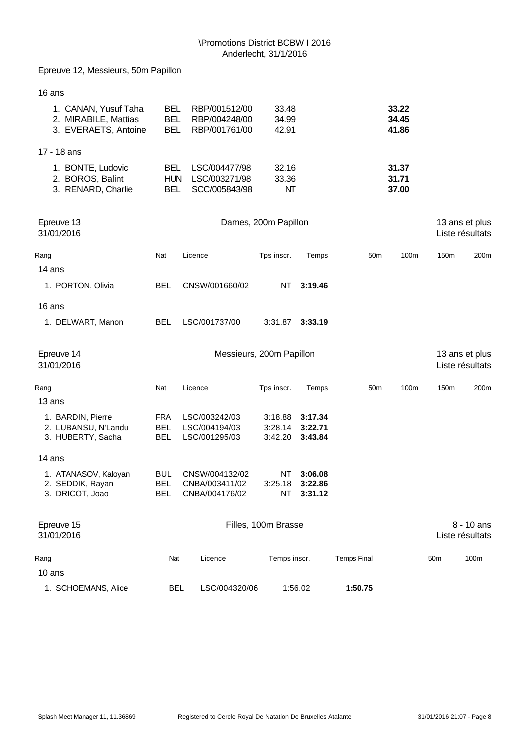| Epreuve 12, Messieurs, 50m Papillon                                  |                                                                                                                                              |                                                    |                               |                               |                 |                         |                                   |                  |  |
|----------------------------------------------------------------------|----------------------------------------------------------------------------------------------------------------------------------------------|----------------------------------------------------|-------------------------------|-------------------------------|-----------------|-------------------------|-----------------------------------|------------------|--|
| 16 ans                                                               |                                                                                                                                              |                                                    |                               |                               |                 |                         |                                   |                  |  |
| 1. CANAN, Yusuf Taha<br>2. MIRABILE, Mattias<br>3. EVERAETS, Antoine | <b>BEL</b><br><b>BEL</b><br><b>BEL</b>                                                                                                       | RBP/001512/00<br>RBP/004248/00<br>RBP/001761/00    | 33.48<br>34.99<br>42.91       |                               |                 | 33.22<br>34.45<br>41.86 |                                   |                  |  |
| 17 - 18 ans                                                          |                                                                                                                                              |                                                    |                               |                               |                 |                         |                                   |                  |  |
| 1. BONTE, Ludovic<br>2. BOROS, Balint<br>3. RENARD, Charlie          | <b>BEL</b><br>LSC/004477/98<br>32.16<br>31.37<br><b>HUN</b><br>33.36<br>31.71<br>LSC/003271/98<br>NT<br><b>BEL</b><br>SCC/005843/98<br>37.00 |                                                    |                               |                               |                 |                         |                                   |                  |  |
| Epreuve 13<br>31/01/2016                                             |                                                                                                                                              |                                                    | Dames, 200m Papillon          |                               |                 |                         | 13 ans et plus<br>Liste résultats |                  |  |
| Rang                                                                 | Nat                                                                                                                                          | Licence                                            | Tps inscr.                    | Temps                         | 50 <sub>m</sub> | 100m                    | 150m                              | 200 <sub>m</sub> |  |
| 14 ans                                                               |                                                                                                                                              |                                                    |                               |                               |                 |                         |                                   |                  |  |
| 1. PORTON, Olivia                                                    | <b>BEL</b>                                                                                                                                   | CNSW/001660/02                                     | <b>NT</b>                     | 3:19.46                       |                 |                         |                                   |                  |  |
| 16 ans                                                               |                                                                                                                                              |                                                    |                               |                               |                 |                         |                                   |                  |  |
| 1. DELWART, Manon                                                    | <b>BEL</b>                                                                                                                                   | LSC/001737/00                                      | 3:31.87                       | 3:33.19                       |                 |                         |                                   |                  |  |
| Epreuve 14<br>31/01/2016                                             |                                                                                                                                              |                                                    | Messieurs, 200m Papillon      |                               |                 |                         | 13 ans et plus<br>Liste résultats |                  |  |
| Rang                                                                 | Nat                                                                                                                                          | Licence                                            | Tps inscr.                    | Temps                         | 50 <sub>m</sub> | 100m                    | 150m                              | 200 <sub>m</sub> |  |
| 13 ans                                                               |                                                                                                                                              |                                                    |                               |                               |                 |                         |                                   |                  |  |
| 1. BARDIN, Pierre<br>2. LUBANSU, N'Landu<br>3. HUBERTY, Sacha        | <b>FRA</b><br><b>BEL</b><br><b>BEL</b>                                                                                                       | LSC/003242/03<br>LSC/004194/03<br>LSC/001295/03    | 3:18.88<br>3:28.14<br>3:42.20 | 3:17.34<br>3:22.71<br>3:43.84 |                 |                         |                                   |                  |  |
| 14 ans                                                               |                                                                                                                                              |                                                    |                               |                               |                 |                         |                                   |                  |  |
| 1. ATANASOV, Kaloyan<br>2. SEDDIK, Rayan<br>3. DRICOT, Joao          | <b>BUL</b><br><b>BEL</b><br><b>BEL</b>                                                                                                       | CNSW/004132/02<br>CNBA/003411/02<br>CNBA/004176/02 | ΝT<br>3:25.18<br>ΝT           | 3:06.08<br>3:22.86<br>3:31.12 |                 |                         |                                   |                  |  |
| Epreuve 15<br>31/01/2016                                             |                                                                                                                                              |                                                    | Filles, 100m Brasse           |                               |                 |                         | Liste résultats                   | 8 - 10 ans       |  |

Rang 100m Nat Licence Temps inscr. Temps Final 50m 100m 10 ans 1. SCHOEMANS, Alice BEL LSC/004320/06 1:56.02 **1:50.75**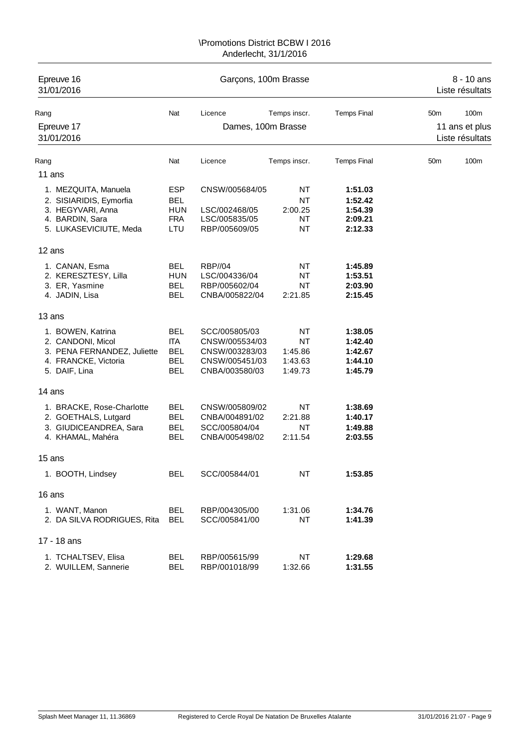| Epreuve 16<br>31/01/2016                        |                          | Garçons, 100m Brasse |                        | 8 - 10 ans<br>Liste résultats |                 |                                   |
|-------------------------------------------------|--------------------------|----------------------|------------------------|-------------------------------|-----------------|-----------------------------------|
| Rang                                            | Nat                      | Licence              | Temps inscr.           | <b>Temps Final</b>            | 50 <sub>m</sub> | 100m                              |
| Epreuve 17<br>31/01/2016                        |                          | Dames, 100m Brasse   |                        |                               |                 | 11 ans et plus<br>Liste résultats |
| Rang                                            | Nat                      | Licence              | Temps inscr.           | <b>Temps Final</b>            | 50 <sub>m</sub> | 100m                              |
| 11 ans                                          |                          |                      |                        |                               |                 |                                   |
|                                                 |                          |                      |                        |                               |                 |                                   |
| 1. MEZQUITA, Manuela<br>2. SISIARIDIS, Eymorfia | <b>ESP</b><br><b>BEL</b> | CNSW/005684/05       | <b>NT</b><br><b>NT</b> | 1:51.03<br>1:52.42            |                 |                                   |
| 3. HEGYVARI, Anna                               | <b>HUN</b>               | LSC/002468/05        | 2:00.25                | 1:54.39                       |                 |                                   |
| 4. BARDIN, Sara                                 | <b>FRA</b>               | LSC/005835/05        | NΤ                     | 2:09.21                       |                 |                                   |
| 5. LUKASEVICIUTE, Meda                          | LTU                      | RBP/005609/05        | <b>NT</b>              | 2:12.33                       |                 |                                   |
| 12 ans                                          |                          |                      |                        |                               |                 |                                   |
| 1. CANAN, Esma                                  | <b>BEL</b>               | <b>RBP//04</b>       | <b>NT</b>              | 1:45.89                       |                 |                                   |
| 2. KERESZTESY, Lilla                            | <b>HUN</b>               | LSC/004336/04        | <b>NT</b>              | 1:53.51                       |                 |                                   |
| 3. ER, Yasmine                                  | <b>BEL</b>               | RBP/005602/04        | <b>NT</b>              | 2:03.90                       |                 |                                   |
| 4. JADIN, Lisa                                  | <b>BEL</b>               | CNBA/005822/04       | 2:21.85                | 2:15.45                       |                 |                                   |
| 13 ans                                          |                          |                      |                        |                               |                 |                                   |
| 1. BOWEN, Katrina                               | <b>BEL</b>               | SCC/005805/03        | <b>NT</b>              | 1:38.05                       |                 |                                   |
| 2. CANDONI, Micol                               | <b>ITA</b>               | CNSW/005534/03       | <b>NT</b>              | 1:42.40                       |                 |                                   |
| 3. PENA FERNANDEZ, Juliette                     | <b>BEL</b>               | CNSW/003283/03       | 1:45.86                | 1:42.67                       |                 |                                   |
| 4. FRANCKE, Victoria                            | <b>BEL</b>               | CNSW/005451/03       | 1:43.63                | 1:44.10                       |                 |                                   |
| 5. DAIF, Lina                                   | <b>BEL</b>               | CNBA/003580/03       | 1:49.73                | 1:45.79                       |                 |                                   |
| 14 ans                                          |                          |                      |                        |                               |                 |                                   |
| 1. BRACKE, Rose-Charlotte                       | <b>BEL</b>               | CNSW/005809/02       | <b>NT</b>              | 1:38.69                       |                 |                                   |
| 2. GOETHALS, Lutgard                            | <b>BEL</b>               | CNBA/004891/02       | 2:21.88                | 1:40.17                       |                 |                                   |
| 3. GIUDICEANDREA, Sara                          | <b>BEL</b>               | SCC/005804/04        | <b>NT</b>              | 1:49.88                       |                 |                                   |
| 4. KHAMAL, Mahéra                               | <b>BEL</b>               | CNBA/005498/02       | 2:11.54                | 2:03.55                       |                 |                                   |
| 15 ans                                          |                          |                      |                        |                               |                 |                                   |
| 1. BOOTH, Lindsey                               | <b>BEL</b>               | SCC/005844/01        | <b>NT</b>              | 1:53.85                       |                 |                                   |
| 16 ans                                          |                          |                      |                        |                               |                 |                                   |
| 1. WANT, Manon                                  | <b>BEL</b>               | RBP/004305/00        | 1:31.06                | 1:34.76                       |                 |                                   |
| 2. DA SILVA RODRIGUES, Rita                     | <b>BEL</b>               | SCC/005841/00        | <b>NT</b>              | 1:41.39                       |                 |                                   |
| 17 - 18 ans                                     |                          |                      |                        |                               |                 |                                   |
| 1. TCHALTSEV, Elisa                             | <b>BEL</b>               | RBP/005615/99        | <b>NT</b>              | 1:29.68                       |                 |                                   |
| 2. WUILLEM, Sannerie                            | <b>BEL</b>               | RBP/001018/99        | 1:32.66                | 1:31.55                       |                 |                                   |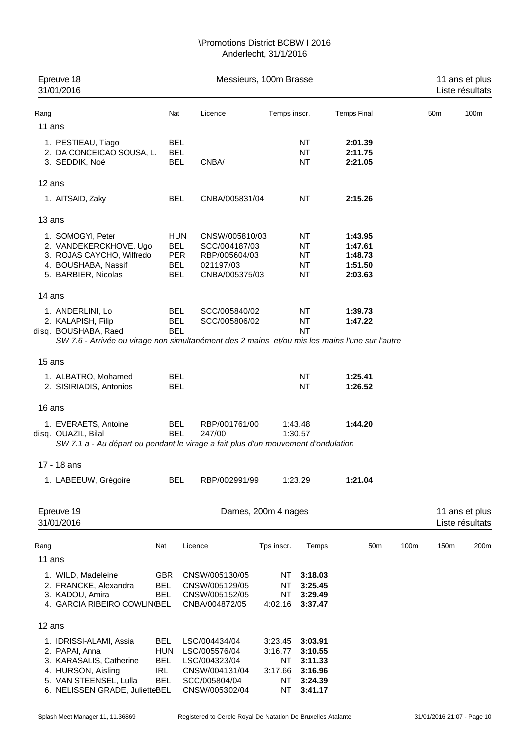| Epreuve 18<br>31/01/2016                                                                                                                                         |                                                      | Messieurs, 100m Brasse                                                                               |                                                 | 11 ans et plus<br>Liste résultats                              |                                                     |      |                 |                                   |
|------------------------------------------------------------------------------------------------------------------------------------------------------------------|------------------------------------------------------|------------------------------------------------------------------------------------------------------|-------------------------------------------------|----------------------------------------------------------------|-----------------------------------------------------|------|-----------------|-----------------------------------|
| Rang                                                                                                                                                             | Nat                                                  | Licence                                                                                              | Temps inscr.                                    |                                                                | <b>Temps Final</b>                                  |      | 50 <sub>m</sub> | 100m                              |
| 11 ans                                                                                                                                                           |                                                      |                                                                                                      |                                                 |                                                                |                                                     |      |                 |                                   |
| 1. PESTIEAU, Tiago<br>2. DA CONCEICAO SOUSA, L.<br>3. SEDDIK, Noé                                                                                                | <b>BEL</b><br><b>BEL</b><br><b>BEL</b>               | CNBA/                                                                                                |                                                 | NT<br>NT<br><b>NT</b>                                          | 2:01.39<br>2:11.75<br>2:21.05                       |      |                 |                                   |
| 12 ans                                                                                                                                                           |                                                      |                                                                                                      |                                                 |                                                                |                                                     |      |                 |                                   |
| 1. AITSAID, Zaky                                                                                                                                                 | <b>BEL</b>                                           | CNBA/005831/04                                                                                       |                                                 | <b>NT</b>                                                      | 2:15.26                                             |      |                 |                                   |
| 13 ans                                                                                                                                                           |                                                      |                                                                                                      |                                                 |                                                                |                                                     |      |                 |                                   |
| 1. SOMOGYI, Peter<br>2. VANDEKERCKHOVE, Ugo<br>3. ROJAS CAYCHO, Wilfredo<br>4. BOUSHABA, Nassif<br>5. BARBIER, Nicolas                                           | <b>BEL</b><br><b>PER</b><br><b>BEL</b><br><b>BEL</b> | <b>HUN</b><br>CNSW/005810/03<br>SCC/004187/03<br>RBP/005604/03<br>021197/03<br>CNBA/005375/03        |                                                 | NT<br>NT<br>NT<br>NT<br><b>NT</b>                              | 1:43.95<br>1:47.61<br>1:48.73<br>1:51.50<br>2:03.63 |      |                 |                                   |
| 14 ans                                                                                                                                                           |                                                      |                                                                                                      |                                                 |                                                                |                                                     |      |                 |                                   |
| 1. ANDERLINI, Lo<br>2. KALAPISH, Filip<br>disq. BOUSHABA, Raed<br>SW 7.6 - Arrivée ou virage non simultanément des 2 mains et/ou mis les mains l'une sur l'autre | <b>BEL</b><br><b>BEL</b><br><b>BEL</b>               | SCC/005840/02<br>SCC/005806/02                                                                       |                                                 | NT<br>NT<br><b>NT</b>                                          | 1:39.73<br>1:47.22                                  |      |                 |                                   |
|                                                                                                                                                                  |                                                      |                                                                                                      |                                                 |                                                                |                                                     |      |                 |                                   |
| 15 ans                                                                                                                                                           |                                                      |                                                                                                      |                                                 |                                                                |                                                     |      |                 |                                   |
| 1. ALBATRO, Mohamed<br>2. SISIRIADIS, Antonios                                                                                                                   | <b>BEL</b><br><b>BEL</b>                             |                                                                                                      |                                                 | <b>NT</b><br><b>NT</b>                                         | 1:25.41<br>1:26.52                                  |      |                 |                                   |
| 16 ans                                                                                                                                                           |                                                      |                                                                                                      |                                                 |                                                                |                                                     |      |                 |                                   |
| 1. EVERAETS, Antoine<br>disq. OUAZIL, Bilal<br>SW 7.1 a - Au départ ou pendant le virage a fait plus d'un mouvement d'ondulation                                 | <b>BEL</b><br><b>BEL</b>                             | RBP/001761/00<br>247/00                                                                              |                                                 | 1:43.48<br>1:30.57                                             | 1:44.20                                             |      |                 |                                   |
| 17 - 18 ans                                                                                                                                                      |                                                      |                                                                                                      |                                                 |                                                                |                                                     |      |                 |                                   |
| 1. LABEEUW, Grégoire                                                                                                                                             | <b>BEL</b>                                           | RBP/002991/99                                                                                        |                                                 | 1:23.29                                                        | 1:21.04                                             |      |                 |                                   |
| Epreuve 19<br>31/01/2016                                                                                                                                         |                                                      |                                                                                                      | Dames, 200m 4 nages                             |                                                                |                                                     |      |                 | 11 ans et plus<br>Liste résultats |
| Rang                                                                                                                                                             | Nat                                                  | Licence                                                                                              | Tps inscr.                                      | Temps                                                          | 50 <sub>m</sub>                                     | 100m | 150m            | 200m                              |
| 11 ans                                                                                                                                                           |                                                      |                                                                                                      |                                                 |                                                                |                                                     |      |                 |                                   |
| 1. WILD, Madeleine<br>2. FRANCKE, Alexandra<br>3. KADOU, Amira<br>4. GARCIA RIBEIRO COWLIN(BEL                                                                   | <b>GBR</b><br><b>BEL</b><br>BEL                      | CNSW/005130/05<br>CNSW/005129/05<br>CNSW/005152/05<br>CNBA/004872/05                                 | NΤ<br>NT<br>NT<br>4:02.16                       | 3:18.03<br>3:25.45<br>3:29.49<br>3:37.47                       |                                                     |      |                 |                                   |
| 12 ans                                                                                                                                                           |                                                      |                                                                                                      |                                                 |                                                                |                                                     |      |                 |                                   |
| 1. IDRISSI-ALAMI, Assia<br>2. PAPAI, Anna<br>3. KARASALIS, Catherine<br>4. HURSON, Aisling<br>5. VAN STEENSEL, Lulla<br>6. NELISSEN GRADE, JulietteBEL           | BEL<br><b>HUN</b><br><b>BEL</b><br>IRL<br><b>BEL</b> | LSC/004434/04<br>LSC/005576/04<br>LSC/004323/04<br>CNSW/004131/04<br>SCC/005804/04<br>CNSW/005302/04 | 3:23.45<br>3:16.77<br>ΝT<br>3:17.66<br>NT<br>NT | 3:03.91<br>3:10.55<br>3:11.33<br>3:16.96<br>3:24.39<br>3:41.17 |                                                     |      |                 |                                   |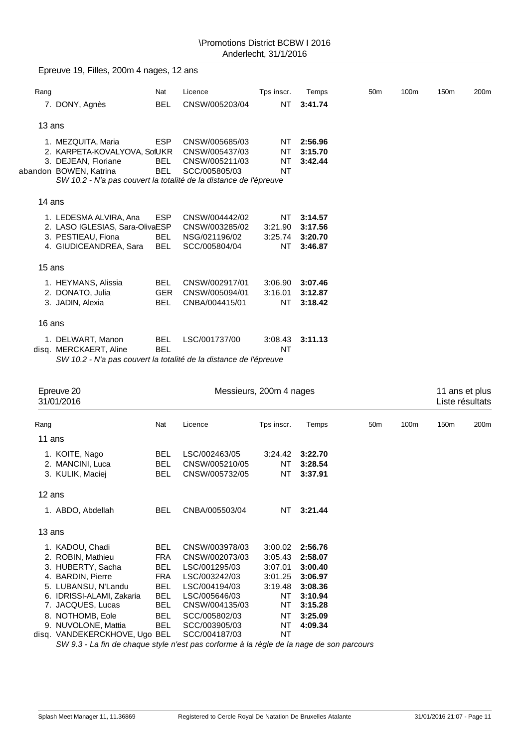|        | Epreuve 19, Filles, 200m 4 nages, 12 ans                                                                                                                                 |                                        |                                                                     |                                        |                                          |                 |      |                                   |      |
|--------|--------------------------------------------------------------------------------------------------------------------------------------------------------------------------|----------------------------------------|---------------------------------------------------------------------|----------------------------------------|------------------------------------------|-----------------|------|-----------------------------------|------|
| Rang   |                                                                                                                                                                          | Nat                                    | Licence                                                             | Tps inscr.                             | Temps                                    | 50 <sub>m</sub> | 100m | 150m                              | 200m |
|        | 7. DONY, Agnès                                                                                                                                                           | <b>BEL</b>                             | CNSW/005203/04                                                      | <b>NT</b>                              | 3:41.74                                  |                 |      |                                   |      |
| 13 ans |                                                                                                                                                                          |                                        |                                                                     |                                        |                                          |                 |      |                                   |      |
|        | 1. MEZQUITA, Maria<br>2. KARPETA-KOVALYOVA, SolUKR<br>3. DEJEAN, Floriane<br>abandon BOWEN, Katrina<br>SW 10.2 - N'a pas couvert la totalité de la distance de l'épreuve | <b>ESP</b><br><b>BEL</b><br><b>BEL</b> | CNSW/005685/03<br>CNSW/005437/03<br>CNSW/005211/03<br>SCC/005805/03 | NT<br><b>NT</b><br><b>NT</b><br>NT     | 2:56.96<br>3:15.70<br>3:42.44            |                 |      |                                   |      |
| 14 ans |                                                                                                                                                                          |                                        |                                                                     |                                        |                                          |                 |      |                                   |      |
|        | 1. LEDESMA ALVIRA, Ana<br>2. LASO IGLESIAS, Sara-OlivaESP<br>3. PESTIEAU, Fiona<br>4. GIUDICEANDREA, Sara                                                                | <b>ESP</b><br><b>BEL</b><br><b>BEL</b> | CNSW/004442/02<br>CNSW/003285/02<br>NSG/021196/02<br>SCC/005804/04  | <b>NT</b><br>3:21.90<br>3:25.74<br>NT. | 3:14.57<br>3:17.56<br>3:20.70<br>3:46.87 |                 |      |                                   |      |
| 15 ans |                                                                                                                                                                          |                                        |                                                                     |                                        |                                          |                 |      |                                   |      |
|        | 1. HEYMANS, Alissia<br>2. DONATO, Julia<br>3. JADIN, Alexia                                                                                                              | <b>BEL</b><br><b>GER</b><br><b>BEL</b> | CNSW/002917/01<br>CNSW/005094/01<br>CNBA/004415/01                  | 3:06.90<br>3:16.01<br><b>NT</b>        | 3:07.46<br>3:12.87<br>3:18.42            |                 |      |                                   |      |
| 16 ans |                                                                                                                                                                          |                                        |                                                                     |                                        |                                          |                 |      |                                   |      |
|        | 1. DELWART, Manon<br>disq. MERCKAERT, Aline<br>SW 10.2 - N'a pas couvert la totalité de la distance de l'épreuve                                                         | <b>BEL</b><br><b>BEL</b>               | LSC/001737/00                                                       | 3:08.43<br><b>NT</b>                   | 3:11.13                                  |                 |      |                                   |      |
|        |                                                                                                                                                                          |                                        |                                                                     |                                        |                                          |                 |      |                                   |      |
|        | Epreuve 20<br>31/01/2016                                                                                                                                                 |                                        |                                                                     | Messieurs, 200m 4 nages                |                                          |                 |      | 11 ans et plus<br>Liste résultats |      |

| 31/01/2016     |                                                                                                                                                                                                                                                              |                                                                                                                                                          |                                                                             |                                                                                                 |                 |      | Liste résultats  |      |  |
|----------------|--------------------------------------------------------------------------------------------------------------------------------------------------------------------------------------------------------------------------------------------------------------|----------------------------------------------------------------------------------------------------------------------------------------------------------|-----------------------------------------------------------------------------|-------------------------------------------------------------------------------------------------|-----------------|------|------------------|------|--|
|                | Nat                                                                                                                                                                                                                                                          | Licence                                                                                                                                                  | Tps inscr.                                                                  | Temps                                                                                           | 50 <sub>m</sub> | 100m | 150 <sub>m</sub> | 200m |  |
|                |                                                                                                                                                                                                                                                              |                                                                                                                                                          |                                                                             |                                                                                                 |                 |      |                  |      |  |
|                | <b>BEL</b><br>BEL<br><b>BEL</b>                                                                                                                                                                                                                              | LSC/002463/05<br>CNSW/005210/05<br>CNSW/005732/05                                                                                                        | 3:24.42<br>ΝT<br>ΝT                                                         | 3:22.70<br>3:28.54<br>3:37.91                                                                   |                 |      |                  |      |  |
|                |                                                                                                                                                                                                                                                              |                                                                                                                                                          |                                                                             |                                                                                                 |                 |      |                  |      |  |
|                | <b>BEL</b>                                                                                                                                                                                                                                                   | CNBA/005503/04                                                                                                                                           | NT                                                                          | 3:21.44                                                                                         |                 |      |                  |      |  |
|                |                                                                                                                                                                                                                                                              |                                                                                                                                                          |                                                                             |                                                                                                 |                 |      |                  |      |  |
|                | <b>BEL</b><br>FRA<br>BEL<br><b>FRA</b><br><b>BEL</b><br><b>BEL</b><br>BEL<br><b>BEL</b><br><b>BEL</b>                                                                                                                                                        | CNSW/003978/03<br>CNSW/002073/03<br>LSC/001295/03<br>LSC/003242/03<br>LSC/004194/03<br>LSC/005646/03<br>CNSW/004135/03<br>SCC/005802/03<br>SCC/003905/03 | 3:00.02<br>3:05.43<br>3:07.01<br>3:01.25<br>3:19.48<br>ΝT<br>ΝT<br>ΝT<br>ΝT | 2:56.76<br>2:58.07<br>3:00.40<br>3:06.97<br>3:08.36<br>3:10.94<br>3:15.28<br>3:25.09<br>4:09.34 |                 |      |                  |      |  |
| 1. KOITE, Nago | 2. MANCINI, Luca<br>3. KULIK, Maciej<br>1. ABDO, Abdellah<br>1. KADOU, Chadi<br>2. ROBIN, Mathieu<br>3. HUBERTY, Sacha<br>4. BARDIN, Pierre<br>5. LUBANSU, N'Landu<br>6. IDRISSI-ALAMI, Zakaria<br>7. JACQUES, Lucas<br>8. NOTHOMB, Eole<br>NUVOLONE, Mattia | disg. VANDEKERCKHOVE, Ugo BEL                                                                                                                            | SCC/004187/03                                                               | NT                                                                                              |                 |      |                  |      |  |

*SW 9.3 - La fin de chaque style n'est pas corforme à la règle de la nage de son parcours*